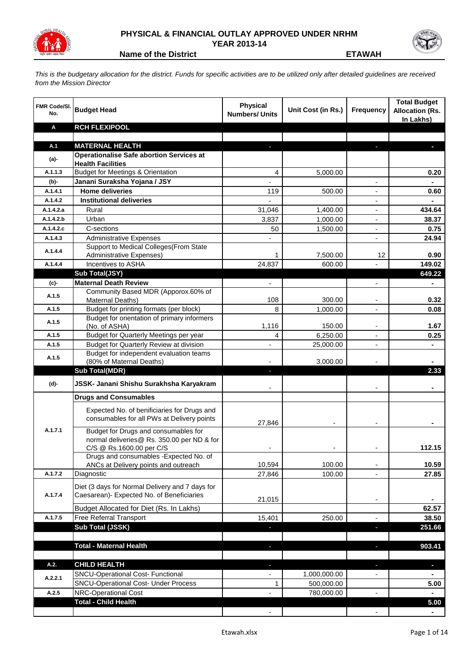

## **PHYSICAL & FINANCIAL OUTLAY APPROVED UNDER NRHM YEAR 2013-14**



**Name of the District ETAWAH**

*This is the budgetary allocation for the district. Funds for specific activities are to be utilized only after detailed guidelines are received from the Mission Director*

| <b>FMR Code/SI.</b><br>No. | <b>Budget Head</b>                                                                                             | <b>Physical</b><br><b>Numbers/ Units</b> | Unit Cost (in Rs.) | <b>Frequency</b>         | <b>Total Budget</b><br><b>Allocation (Rs.</b><br>In Lakhs) |
|----------------------------|----------------------------------------------------------------------------------------------------------------|------------------------------------------|--------------------|--------------------------|------------------------------------------------------------|
| A                          | <b>RCH FLEXIPOOL</b>                                                                                           |                                          |                    |                          |                                                            |
|                            |                                                                                                                |                                          |                    |                          |                                                            |
| A.1                        | <b>MATERNAL HEALTH</b>                                                                                         |                                          |                    |                          |                                                            |
| (a)-                       | <b>Operationalise Safe abortion Services at</b><br><b>Health Facilities</b>                                    |                                          |                    |                          |                                                            |
| A.1.1.3                    | <b>Budget for Meetings &amp; Orientation</b>                                                                   | 4                                        | 5,000.00           |                          | 0.20                                                       |
| (b)-                       | Janani Suraksha Yojana / JSY                                                                                   |                                          |                    |                          | ÷.                                                         |
| A.1.4.1                    | <b>Home deliveries</b>                                                                                         | 119                                      | 500.00             |                          | 0.60                                                       |
| A.1.4.2                    | <b>Institutional deliveries</b>                                                                                |                                          |                    |                          |                                                            |
| A.1.4.2.a                  | Rural                                                                                                          | 31,046                                   | 1,400.00           |                          | 434.64                                                     |
| A.1.4.2.b                  | Urban                                                                                                          | 3,837                                    | 1,000.00           | $\overline{\phantom{a}}$ | 38.37                                                      |
| A.1.4.2.c                  | C-sections                                                                                                     | 50                                       | 1,500.00           | $\overline{\phantom{a}}$ | 0.75                                                       |
| A.1.4.3                    | <b>Administrative Expenses</b>                                                                                 |                                          |                    |                          | 24.94                                                      |
| A.1.4.4                    | Support to Medical Colleges (From State<br><b>Administrative Expenses)</b>                                     | 1                                        | 7,500.00           | 12                       | 0.90                                                       |
| A.1.4.4                    | Incentives to ASHA                                                                                             | 24,837                                   | 600.00             |                          | 149.02                                                     |
|                            | Sub Total(JSY)                                                                                                 |                                          |                    |                          | 649.22                                                     |
| (c)-                       | <b>Maternal Death Review</b>                                                                                   | ÷.                                       |                    | $\blacksquare$           | $\blacksquare$                                             |
| A.1.5                      | Community Based MDR (Apporox.60% of<br>Maternal Deaths)                                                        | 108                                      | 300.00             |                          | 0.32                                                       |
| A.1.5                      | Budget for printing formats (per block)                                                                        | 8                                        | 1,000.00           |                          | 0.08                                                       |
| A.1.5                      | Budget for orientation of primary informers<br>(No. of ASHA)                                                   | 1,116                                    | 150.00             |                          | 1.67                                                       |
| A.1.5                      | Budget for Quarterly Meetings per year                                                                         | 4                                        | 6,250.00           |                          | 0.25                                                       |
| A.1.5                      | Budget for Quarterly Review at division                                                                        |                                          | 25,000.00          | $\blacksquare$           | ۰                                                          |
|                            | Budget for independent evaluation teams                                                                        |                                          |                    |                          |                                                            |
| A.1.5                      | (80% of Maternal Deaths)                                                                                       |                                          | 3,000.00           |                          |                                                            |
|                            | <b>Sub Total(MDR)</b>                                                                                          | ٠                                        |                    |                          | 2.33                                                       |
| (d)-                       | JSSK- Janani Shishu Surakhsha Karyakram                                                                        |                                          |                    |                          |                                                            |
|                            | <b>Drugs and Consumables</b>                                                                                   |                                          |                    |                          |                                                            |
|                            | Expected No. of benificiaries for Drugs and<br>consumables for all PWs at Delivery points                      | 27,846                                   |                    |                          |                                                            |
| A.1.7.1                    | Budget for Drugs and consumables for<br>normal deliveries@ Rs. 350.00 per ND & for<br>C/S @ Rs.1600.00 per C/S |                                          |                    |                          | 112.15                                                     |
|                            | Drugs and consumables - Expected No. of                                                                        |                                          |                    |                          |                                                            |
|                            | ANCs at Delivery points and outreach                                                                           | 10,594                                   | 100.00             |                          | 10.59                                                      |
| A.1.7.2                    | Diagnostic                                                                                                     | 27,846                                   | 100.00             |                          | 27.85                                                      |
| A.1.7.4                    | Diet (3 days for Normal Delivery and 7 days for<br>Caesarean)- Expected No. of Beneficiaries                   |                                          |                    |                          |                                                            |
|                            |                                                                                                                | 21,015                                   |                    |                          |                                                            |
| A.1.7.5                    | Budget Allocated for Diet (Rs. In Lakhs)<br>Free Referral Transport                                            |                                          |                    |                          | 62.57                                                      |
|                            | Sub Total (JSSK)                                                                                               | 15,401                                   | 250.00             |                          | 38.50                                                      |
|                            |                                                                                                                |                                          |                    |                          | 251.66                                                     |
|                            | <b>Total - Maternal Health</b>                                                                                 |                                          |                    |                          |                                                            |
|                            |                                                                                                                |                                          |                    | T                        | 903.41                                                     |
| A.2.                       | <b>CHILD HEALTH</b>                                                                                            | J                                        |                    | $\overline{\phantom{a}}$ | O,                                                         |
|                            | <b>SNCU-Operational Cost- Functional</b>                                                                       |                                          | 1,000,000.00       |                          |                                                            |
| A.2.2.1                    | <b>SNCU-Operational Cost- Under Process</b>                                                                    | 1                                        | 500,000.00         |                          | 5.00                                                       |
| A.2.5                      | NRC-Operational Cost                                                                                           |                                          | 780,000.00         |                          | $\blacksquare$                                             |
|                            | <b>Total - Child Health</b>                                                                                    |                                          |                    |                          | 5.00                                                       |
|                            |                                                                                                                |                                          |                    |                          | $\blacksquare$                                             |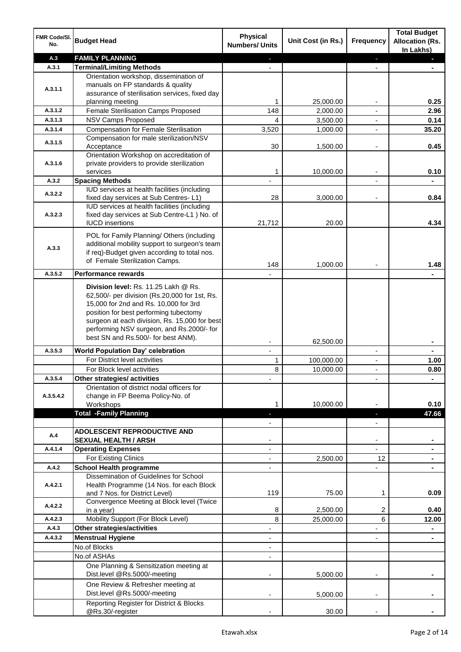| FMR Code/SI.<br>No. | <b>Budget Head</b>                                                                          | <b>Physical</b><br><b>Numbers/ Units</b> | Unit Cost (in Rs.) | Frequency                | <b>Total Budget</b><br><b>Allocation (Rs.</b><br>In Lakhs) |
|---------------------|---------------------------------------------------------------------------------------------|------------------------------------------|--------------------|--------------------------|------------------------------------------------------------|
| A.3                 | <b>FAMILY PLANNING</b>                                                                      |                                          |                    | ٠                        |                                                            |
| A.3.1               | <b>Terminal/Limiting Methods</b>                                                            |                                          |                    |                          |                                                            |
|                     | Orientation workshop, dissemination of                                                      |                                          |                    |                          |                                                            |
| A.3.1.1             | manuals on FP standards & quality<br>assurance of sterilisation services, fixed day         |                                          |                    |                          |                                                            |
|                     | planning meeting                                                                            | 1                                        | 25,000.00          |                          | 0.25                                                       |
| A.3.1.2             | Female Sterilisation Camps Proposed                                                         | 148                                      | 2,000.00           |                          | 2.96                                                       |
| A.3.1.3             | <b>NSV Camps Proposed</b>                                                                   | 4                                        | 3,500.00           | $\blacksquare$           | 0.14                                                       |
| A.3.1.4             | <b>Compensation for Female Sterilisation</b>                                                | 3,520                                    | 1,000.00           | $\blacksquare$           | 35.20                                                      |
| A.3.1.5             | Compensation for male sterilization/NSV                                                     |                                          |                    |                          |                                                            |
|                     | Acceptance                                                                                  | 30                                       | 1,500.00           | $\overline{a}$           | 0.45                                                       |
| A.3.1.6             | Orientation Workshop on accreditation of<br>private providers to provide sterilization      |                                          |                    |                          |                                                            |
|                     | services                                                                                    | 1                                        | 10,000.00          | $\blacksquare$           | 0.10                                                       |
| A.3.2               | <b>Spacing Methods</b>                                                                      |                                          |                    |                          |                                                            |
| A.3.2.2             | IUD services at health facilities (including                                                |                                          |                    |                          |                                                            |
|                     | fixed day services at Sub Centres-L1)                                                       | 28                                       | 3,000.00           |                          | 0.84                                                       |
|                     | IUD services at health facilities (including                                                |                                          |                    |                          |                                                            |
| A.3.2.3             | fixed day services at Sub Centre-L1 ) No. of<br><b>IUCD</b> insertions                      | 21,712                                   | 20.00              |                          | 4.34                                                       |
|                     |                                                                                             |                                          |                    |                          |                                                            |
|                     | POL for Family Planning/ Others (including<br>additional mobility support to surgeon's team |                                          |                    |                          |                                                            |
| A.3.3               | if req)-Budget given according to total nos.                                                |                                          |                    |                          |                                                            |
|                     | of Female Sterilization Camps.                                                              |                                          |                    |                          |                                                            |
| A.3.5.2             | <b>Performance rewards</b>                                                                  | 148                                      | 1,000.00           |                          | 1.48                                                       |
|                     |                                                                                             |                                          |                    |                          |                                                            |
|                     | Division level: Rs. 11.25 Lakh @ Rs.                                                        |                                          |                    |                          |                                                            |
|                     | 62,500/- per division (Rs.20,000 for 1st, Rs.<br>15,000 for 2nd and Rs. 10,000 for 3rd      |                                          |                    |                          |                                                            |
|                     | position for best performing tubectomy                                                      |                                          |                    |                          |                                                            |
|                     | surgeon at each division, Rs. 15,000 for best                                               |                                          |                    |                          |                                                            |
|                     | performing NSV surgeon, and Rs.2000/- for                                                   |                                          |                    |                          |                                                            |
|                     | best SN and Rs.500/- for best ANM).                                                         |                                          | 62,500.00          |                          |                                                            |
| A.3.5.3             | <b>World Population Day' celebration</b>                                                    | $\mathbf{r}$                             |                    | $\blacksquare$           | $\blacksquare$                                             |
|                     | For District level activities                                                               | 1                                        | 100,000.00         | $\overline{\phantom{a}}$ | 1.00                                                       |
|                     | For Block level activities                                                                  | 8                                        | 10,000.00          | $\blacksquare$           | 0.80                                                       |
| A.3.5.4             | Other strategies/ activities                                                                |                                          |                    |                          |                                                            |
| A.3.5.4.2           | Orientation of district nodal officers for                                                  |                                          |                    |                          |                                                            |
|                     | change in FP Beema Policy-No. of<br>Workshops                                               |                                          | 10,000.00          |                          | 0.10                                                       |
|                     | <b>Total -Family Planning</b>                                                               |                                          |                    |                          | 47.66                                                      |
|                     |                                                                                             |                                          |                    |                          |                                                            |
| A.4                 | <b>ADOLESCENT REPRODUCTIVE AND</b>                                                          |                                          |                    |                          |                                                            |
|                     | <b>SEXUAL HEALTH / ARSH</b>                                                                 |                                          |                    |                          |                                                            |
| A.4.1.4             | <b>Operating Expenses</b>                                                                   |                                          |                    |                          |                                                            |
|                     | For Existing Clinics                                                                        |                                          | 2,500.00           | 12                       |                                                            |
| A.4.2               | <b>School Health programme</b><br>Dissemination of Guidelines for School                    |                                          |                    |                          |                                                            |
| A.4.2.1             | Health Programme (14 Nos. for each Block                                                    |                                          |                    |                          |                                                            |
|                     | and 7 Nos. for District Level)                                                              | 119                                      | 75.00              | 1                        | 0.09                                                       |
| A.4.2.2             | Convergence Meeting at Block level (Twice                                                   |                                          |                    |                          |                                                            |
|                     | in a year)                                                                                  | 8                                        | 2,500.00           | 2                        | 0.40                                                       |
| A.4.2.3             | Mobility Support (For Block Level)                                                          | 8                                        | 25,000.00          | 6                        | 12.00                                                      |
| A.4.3               | <b>Other strategies/activities</b>                                                          |                                          |                    |                          |                                                            |
| A.4.3.2             | <b>Menstrual Hygiene</b><br>No.of Blocks                                                    |                                          |                    |                          |                                                            |
|                     | No.of ASHAs                                                                                 |                                          |                    |                          |                                                            |
|                     | One Planning & Sensitization meeting at                                                     |                                          |                    |                          |                                                            |
|                     | Dist.level @Rs.5000/-meeting                                                                |                                          | 5,000.00           |                          |                                                            |
|                     | One Review & Refresher meeting at                                                           |                                          |                    |                          |                                                            |
|                     | Dist.level @Rs.5000/-meeting                                                                |                                          | 5,000.00           |                          |                                                            |
|                     | Reporting Register for District & Blocks                                                    |                                          |                    |                          |                                                            |
|                     | @Rs.30/-register                                                                            |                                          | 30.00              |                          |                                                            |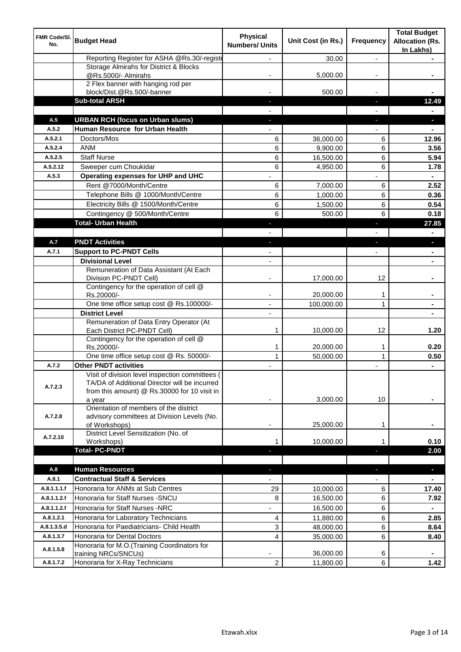| FMR Code/SI.<br>No. | <b>Budget Head</b>                                                                                                                                         | <b>Physical</b><br><b>Numbers/ Units</b> | Unit Cost (in Rs.) | Frequency      | <b>Total Budget</b><br><b>Allocation (Rs.</b><br>In Lakhs) |
|---------------------|------------------------------------------------------------------------------------------------------------------------------------------------------------|------------------------------------------|--------------------|----------------|------------------------------------------------------------|
|                     | Reporting Register for ASHA @Rs.30/-registe                                                                                                                |                                          | 30.00              | $\overline{a}$ |                                                            |
|                     | Storage Almirahs for District & Blocks                                                                                                                     |                                          |                    |                |                                                            |
|                     | @Rs.5000/- Almirahs                                                                                                                                        |                                          | 5,000.00           |                |                                                            |
|                     | 2 Flex banner with hanging rod per                                                                                                                         |                                          |                    |                |                                                            |
|                     | block/Dist.@Rs.500/-banner<br><b>Sub-total ARSH</b>                                                                                                        |                                          | 500.00             | J,             | 12.49                                                      |
|                     |                                                                                                                                                            |                                          |                    |                |                                                            |
| A.5                 | <b>URBAN RCH (focus on Urban slums)</b>                                                                                                                    |                                          |                    | J,             |                                                            |
| A.5.2               | Human Resource for Urban Health                                                                                                                            |                                          |                    |                |                                                            |
| A.5.2.1             | Doctors/Mos                                                                                                                                                | 6                                        | 36,000.00          | 6              | 12.96                                                      |
| A.5.2.4             | <b>ANM</b>                                                                                                                                                 | 6                                        | 9,900.00           | 6              | 3.56                                                       |
| A.5.2.5             | <b>Staff Nurse</b>                                                                                                                                         | 6                                        | 16,500.00          | 6              | 5.94                                                       |
| A.5.2.12            | Sweeper cum Choukidar                                                                                                                                      | 6                                        | 4,950.00           | 6              | 1.78                                                       |
| A.5.3               | Operating expenses for UHP and UHC                                                                                                                         |                                          |                    |                |                                                            |
|                     | Rent @7000/Month/Centre                                                                                                                                    | 6                                        | 7,000.00           | 6              | 2.52                                                       |
|                     | Telephone Bills @ 1000/Month/Centre                                                                                                                        | 6                                        | 1,000.00           | 6              | 0.36                                                       |
|                     | Electricity Bills @ 1500/Month/Centre                                                                                                                      | 6                                        | 1,500.00           | 6              | 0.54                                                       |
|                     | Contingency @ 500/Month/Centre                                                                                                                             | 6                                        | 500.00             | 6              | 0.18                                                       |
|                     | <b>Total- Urban Health</b>                                                                                                                                 |                                          |                    | п              | 27.85                                                      |
|                     |                                                                                                                                                            |                                          |                    |                |                                                            |
| A.7                 | <b>PNDT Activities</b>                                                                                                                                     |                                          |                    |                |                                                            |
| A.7.1               | <b>Support to PC-PNDT Cells</b>                                                                                                                            |                                          |                    |                |                                                            |
|                     | <b>Divisional Level</b>                                                                                                                                    | $\overline{\phantom{a}}$                 |                    |                |                                                            |
|                     | Remuneration of Data Assistant (At Each<br>Division PC-PNDT Cell)                                                                                          |                                          | 17,000.00          | 12             |                                                            |
|                     | Contingency for the operation of cell @<br>Rs.20000/-                                                                                                      |                                          | 20,000.00          | 1              |                                                            |
|                     | One time office setup cost @ Rs.100000/-                                                                                                                   | $\blacksquare$                           | 100,000.00         | 1              |                                                            |
|                     | <b>District Level</b>                                                                                                                                      |                                          |                    |                |                                                            |
|                     | Remuneration of Data Entry Operator (At<br>Each District PC-PNDT Cell)                                                                                     | 1                                        | 10,000.00          | 12             | 1.20                                                       |
|                     | Contingency for the operation of cell @<br>Rs.20000/-                                                                                                      | 1                                        | 20,000.00          | 1              | 0.20                                                       |
|                     | One time office setup cost @ Rs. 50000/-                                                                                                                   | $\mathbf{1}$                             | 50,000.00          | $\mathbf{1}$   | 0.50                                                       |
| A.7.2               | <b>Other PNDT activities</b>                                                                                                                               |                                          |                    |                | $\blacksquare$                                             |
| A.7.2.3             | Visit of division level inspection committees (<br>TA/DA of Additional Director will be incurred<br>from this amount) @ Rs.30000 for 10 visit in<br>a year |                                          | 3,000.00           | 10             |                                                            |
| A.7.2.8             | Orientation of members of the district<br>advisory committees at Division Levels (No.<br>of Workshops)                                                     | ٠                                        | 25,000.00          | 1              |                                                            |
| A.7.2.10            | District Level Sensitization (No. of<br>Workshops)                                                                                                         | 1                                        | 10,000.00          |                | 0.10                                                       |
|                     | <b>Total-PC-PNDT</b>                                                                                                                                       |                                          |                    |                | 2.00                                                       |
| A.8                 | <b>Human Resources</b>                                                                                                                                     |                                          |                    | ٠              | $\blacksquare$                                             |
| A.8.1               | <b>Contractual Staff &amp; Services</b>                                                                                                                    |                                          |                    |                |                                                            |
| A.8.1.1.1.f         | Honoraria for ANMs at Sub Centres                                                                                                                          | 29                                       | 10,000.00          | 6              | 17.40                                                      |
| A.8.1.1.2.f         | Honoraria for Staff Nurses - SNCU                                                                                                                          | 8                                        | 16,500.00          | 6              | 7.92                                                       |
| A.8.1.1.2.f         | Honoraria for Staff Nurses -NRC                                                                                                                            | ÷,                                       | 16,500.00          | 6              | $\blacksquare$                                             |
| A.8.1.2.1           | Honoraria for Laboratory Technicians                                                                                                                       | 4                                        | 11,880.00          | 6              | 2.85                                                       |
| A.8.1.3.5.d         | Honoraria for Paediatricians- Child Health                                                                                                                 | 3                                        | 48,000.00          | 6              | 8.64                                                       |
| A.8.1.3.7           | Honoraria for Dental Doctors                                                                                                                               | 4                                        | 35,000.00          | 6              | 8.40                                                       |
| A.8.1.5.8           | Honoraria for M.O.(Training Coordinators for<br>training NRCs/SNCUs)                                                                                       |                                          | 36,000.00          | 6              |                                                            |
| A.8.1.7.2           | Honoraria for X-Ray Technicians                                                                                                                            | $\overline{\mathbf{c}}$                  | 11,800.00          | 6              | 1.42                                                       |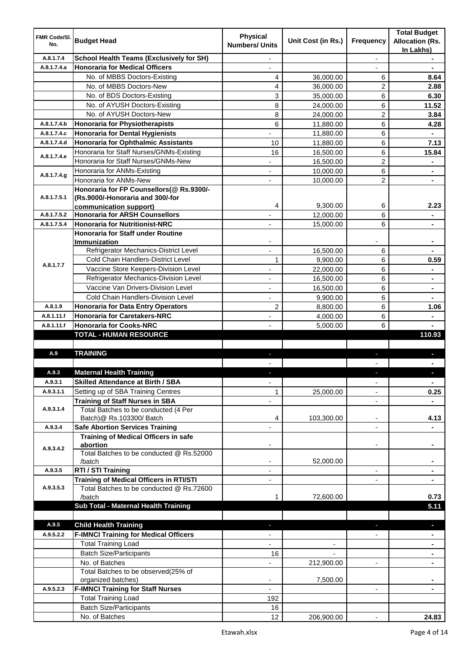| FMR Code/SI.<br>No. | <b>Budget Head</b>                                                          | <b>Physical</b><br><b>Numbers/ Units</b> | Unit Cost (in Rs.) | <b>Frequency</b>         | <b>Total Budget</b><br><b>Allocation (Rs.</b><br>In Lakhs) |
|---------------------|-----------------------------------------------------------------------------|------------------------------------------|--------------------|--------------------------|------------------------------------------------------------|
| A.8.1.7.4           | <b>School Health Teams (Exclusively for SH)</b>                             |                                          |                    |                          |                                                            |
| A.8.1.7.4.a         | <b>Honoraria for Medical Officers</b>                                       |                                          |                    |                          |                                                            |
|                     | No. of MBBS Doctors-Existing                                                | 4                                        | 36,000.00          | 6                        | 8.64                                                       |
|                     | No. of MBBS Doctors-New                                                     | 4                                        | 36,000.00          | 2                        | 2.88                                                       |
|                     | No. of BDS Doctors-Existing                                                 | 3                                        | 35,000.00          | 6                        | 6.30                                                       |
|                     | No. of AYUSH Doctors-Existing                                               | 8                                        | 24,000.00          | 6                        | 11.52                                                      |
|                     | No. of AYUSH Doctors-New                                                    | 8                                        | 24,000.00          | $\overline{c}$           | 3.84                                                       |
| A.8.1.7.4.b         | <b>Honoraria for Physiotherapists</b>                                       | 6                                        | 11,880.00          | 6                        | 4.28                                                       |
| A.8.1.7.4.c         | <b>Honoraria for Dental Hygienists</b>                                      |                                          | 11,880.00          | 6                        |                                                            |
| A.8.1.7.4.d         | Honoraria for Ophthalmic Assistants                                         | 10                                       | 11,880.00          | 6                        | 7.13                                                       |
| A.8.1.7.4.e         | Honoraria for Staff Nurses/GNMs-Existing                                    | 16                                       | 16,500.00          | 6                        | 15.84                                                      |
|                     | Honoraria for Staff Nurses/GNMs-New                                         |                                          | 16,500.00          | 2                        |                                                            |
| A.8.1.7.4.g         | Honoraria for ANMs-Existing                                                 | ÷,                                       | 10,000.00          | 6                        | $\blacksquare$                                             |
|                     | Honoraria for ANMs-New                                                      |                                          | 10,000.00          | $\overline{c}$           |                                                            |
|                     | Honoraria for FP Counsellors(@ Rs.9300/-                                    |                                          |                    |                          |                                                            |
| A.8.1.7.5.1         | (Rs.9000/-Honoraria and 300/-for                                            |                                          |                    |                          |                                                            |
|                     | communication support)                                                      | 4                                        | 9,300.00           | 6                        | 2.23                                                       |
| A.8.1.7.5.2         | <b>Honoraria for ARSH Counsellors</b>                                       |                                          | 12,000.00          | 6                        | $\blacksquare$                                             |
| A.8.1.7.5.4         | <b>Honoraria for Nutritionist-NRC</b>                                       | $\overline{\phantom{0}}$                 | 15,000.00          | 6                        | $\blacksquare$                                             |
|                     | <b>Honoraria for Staff under Routine</b>                                    |                                          |                    |                          |                                                            |
|                     | Immunization<br>Refrigerator Mechanics-District Level                       |                                          |                    |                          |                                                            |
|                     | Cold Chain Handlers-District Level                                          |                                          | 16,500.00          | 6                        |                                                            |
| A.8.1.7.7           | Vaccine Store Keepers-Division Level                                        | $\mathbf{1}$                             | 9,900.00           | 6                        | 0.59                                                       |
|                     |                                                                             | ä,                                       | 22,000.00          | 6                        |                                                            |
|                     | Refrigerator Mechanics-Division Level<br>Vaccine Van Drivers-Division Level | ä,                                       | 16,500.00          | 6                        | $\blacksquare$                                             |
|                     |                                                                             | ÷,                                       | 16,500.00          | 6                        | $\blacksquare$                                             |
|                     | Cold Chain Handlers-Division Level                                          | ÷,                                       | 9,900.00           | 6                        |                                                            |
| A.8.1.9             | <b>Honoraria for Data Entry Operators</b>                                   | $\overline{c}$                           | 8,800.00           | 6                        | 1.06                                                       |
| A.8.1.11.f          | <b>Honoraria for Caretakers-NRC</b>                                         |                                          | 4,000.00           | 6                        |                                                            |
| A.8.1.11.f          | <b>Honoraria for Cooks-NRC</b><br><b>TOTAL - HUMAN RESOURCE</b>             |                                          | 5,000.00           | 6                        | 110.93                                                     |
|                     |                                                                             |                                          |                    |                          |                                                            |
| A.9                 | <b>TRAINING</b>                                                             | ٠                                        |                    | ٠                        | D.                                                         |
|                     |                                                                             |                                          |                    |                          |                                                            |
| A.9.3               | <b>Maternal Health Training</b>                                             |                                          |                    |                          |                                                            |
| A.9.3.1             | <b>Skilled Attendance at Birth / SBA</b>                                    | $\overline{\phantom{a}}$                 |                    | ä,                       | $\blacksquare$                                             |
| A.9.3.1.1           | Setting up of SBA Training Centres                                          | 1                                        | 25,000.00          | $\overline{\phantom{0}}$ | 0.25                                                       |
|                     | <b>Training of Staff Nurses in SBA</b>                                      | $\overline{a}$                           |                    | ٠                        |                                                            |
| A.9.3.1.4           | Total Batches to be conducted (4 Per                                        |                                          |                    |                          |                                                            |
|                     | Batch)@ Rs.103300/ Batch                                                    | 4                                        | 103,300.00         | -                        | 4.13                                                       |
| A.9.3.4             | <b>Safe Abortion Services Training</b>                                      |                                          |                    |                          |                                                            |
|                     | <b>Training of Medical Officers in safe</b>                                 |                                          |                    |                          |                                                            |
|                     | abortion                                                                    |                                          |                    | -                        |                                                            |
| A.9.3.4.2           | Total Batches to be conducted @ Rs.52000                                    |                                          |                    |                          |                                                            |
|                     | /batch                                                                      | $\overline{\phantom{0}}$                 | 52,000.00          |                          | $\blacksquare$                                             |
| A.9.3.5             | RTI / STI Training                                                          | ÷,                                       |                    | $\frac{1}{2}$            | $\blacksquare$                                             |
|                     | Training of Medical Officers in RTI/STI                                     | $\overline{\phantom{a}}$                 |                    | L.                       | $\blacksquare$                                             |
| A.9.3.5.3           | Total Batches to be conducted @ Rs.72600                                    |                                          |                    |                          |                                                            |
|                     | /batch                                                                      | 1                                        | 72,600.00          |                          | 0.73                                                       |
|                     | Sub Total - Maternal Health Training                                        |                                          |                    |                          | 5.11                                                       |
|                     |                                                                             |                                          |                    |                          |                                                            |
| A.9.5               | <b>Child Health Training</b>                                                | ٠                                        |                    | ٠                        | ٠                                                          |
| A.9.5.2.2           | <b>F-IMNCI Training for Medical Officers</b>                                | $\overline{\phantom{0}}$                 |                    |                          | $\blacksquare$                                             |
|                     | <b>Total Training Load</b>                                                  | $\overline{\phantom{a}}$                 | ٠                  |                          | $\blacksquare$                                             |
|                     | <b>Batch Size/Participants</b>                                              | 16                                       |                    |                          | ٠                                                          |
|                     | No. of Batches                                                              | ÷,                                       | 212,900.00         | $\overline{\phantom{a}}$ | $\blacksquare$                                             |
|                     | Total Batches to be observed(25% of                                         |                                          |                    |                          |                                                            |
|                     | organized batches)                                                          |                                          | 7,500.00           |                          |                                                            |
| A.9.5.2.3           | <b>F-IMNCI Training for Staff Nurses</b>                                    |                                          |                    | $\overline{\phantom{a}}$ | $\blacksquare$                                             |
|                     | <b>Total Training Load</b>                                                  | 192                                      |                    |                          |                                                            |
|                     | <b>Batch Size/Participants</b>                                              | 16                                       |                    |                          |                                                            |
|                     | No. of Batches                                                              | 12                                       | 206,900.00         |                          | 24.83                                                      |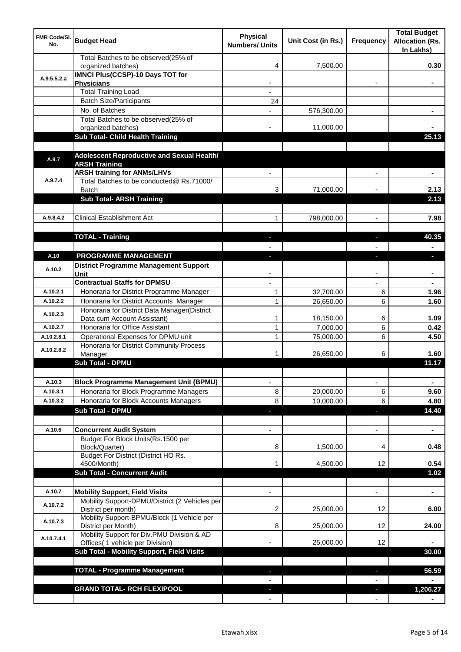| <b>FMR Code/SI.</b><br>No. | <b>Budget Head</b>                                                                      | <b>Physical</b><br><b>Numbers/ Units</b> | Unit Cost (in Rs.) | Frequency                | <b>Total Budget</b><br><b>Allocation (Rs.</b><br>In Lakhs) |
|----------------------------|-----------------------------------------------------------------------------------------|------------------------------------------|--------------------|--------------------------|------------------------------------------------------------|
|                            | Total Batches to be observed(25% of<br>organized batches)                               | 4                                        | 7,500.00           |                          | 0.30                                                       |
| A.9.5.5.2.a                | <b>IMNCI Plus(CCSP)-10 Days TOT for</b>                                                 |                                          |                    |                          |                                                            |
|                            | <b>Physicians</b>                                                                       |                                          |                    |                          |                                                            |
|                            | <b>Total Training Load</b>                                                              |                                          |                    |                          |                                                            |
|                            | <b>Batch Size/Participants</b><br>No. of Batches                                        | 24                                       |                    |                          |                                                            |
|                            | Total Batches to be observed(25% of                                                     |                                          | 576,300.00         |                          |                                                            |
|                            | organized batches)                                                                      |                                          | 11,000.00          |                          |                                                            |
|                            | Sub Total- Child Health Training                                                        |                                          |                    |                          | 25.13                                                      |
|                            |                                                                                         |                                          |                    |                          |                                                            |
| A.9.7                      | Adolescent Reproductive and Sexual Health/                                              |                                          |                    |                          |                                                            |
|                            | <b>ARSH Training</b>                                                                    |                                          |                    |                          |                                                            |
| A.9.7.4                    | <b>ARSH training for ANMs/LHVs</b><br>Total Batches to be conducted@ Rs.71000/          |                                          |                    |                          |                                                            |
|                            | <b>Batch</b>                                                                            | 3                                        | 71,000.00          |                          | 2.13                                                       |
|                            | <b>Sub Total- ARSH Training</b>                                                         |                                          |                    |                          | 2.13                                                       |
|                            |                                                                                         |                                          |                    |                          |                                                            |
| A.9.8.4.2                  | <b>Clinical Establishment Act</b>                                                       | 1                                        | 798,000.00         | $\overline{\phantom{a}}$ | 7.98                                                       |
|                            |                                                                                         |                                          |                    |                          |                                                            |
|                            | <b>TOTAL - Training</b>                                                                 |                                          |                    |                          | 40.35                                                      |
|                            |                                                                                         |                                          |                    |                          |                                                            |
| A.10                       | PROGRAMME MANAGEMENT                                                                    |                                          |                    |                          | a.                                                         |
| A.10.2                     | <b>District Programme Management Support</b>                                            |                                          |                    |                          |                                                            |
|                            | Unit                                                                                    |                                          |                    |                          |                                                            |
|                            | <b>Contractual Staffs for DPMSU</b>                                                     |                                          |                    |                          |                                                            |
| A.10.2.1                   | Honoraria for District Programme Manager                                                | 1                                        | 32,700.00          | 6                        | 1.96                                                       |
| A.10.2.2                   | Honoraria for District Accounts Manager<br>Honoraria for District Data Manager(District | $\mathbf{1}$                             | 26,650.00          | 6                        | 1.60                                                       |
| A.10.2.3                   | Data cum Account Assistant)                                                             | 1                                        | 18,150.00          | 6                        | 1.09                                                       |
| A.10.2.7                   | Honoraria for Office Assistant                                                          | 1                                        | 7,000.00           | 6                        | 0.42                                                       |
| A.10.2.8.1                 | Operational Expenses for DPMU unit                                                      | 1                                        | 75,000.00          | 6                        | 4.50                                                       |
| A.10.2.8.2                 | Honoraria for District Community Process                                                |                                          |                    |                          |                                                            |
|                            | Manager                                                                                 | 1                                        | 26,650.00          | 6                        | 1.60                                                       |
|                            | <b>Sub Total - DPMU</b>                                                                 |                                          |                    |                          | 11.17                                                      |
|                            |                                                                                         |                                          |                    |                          |                                                            |
| A.10.3                     | <b>Block Programme Management Unit (BPMU)</b>                                           | $\overline{\phantom{a}}$                 |                    | $\overline{\phantom{a}}$ | $\blacksquare$                                             |
| A.10.3.1                   | Honoraria for Block Programme Managers                                                  | 8                                        | 20,000.00          | 6                        | 9.60                                                       |
| A.10.3.2                   | Honoraria for Block Accounts Managers                                                   | 8                                        | 10,000.00          | 6                        | 4.80                                                       |
|                            | <b>Sub Total - DPMU</b>                                                                 | P.                                       |                    | J,                       | 14.40                                                      |
| A.10.6                     | <b>Concurrent Audit System</b>                                                          |                                          |                    | $\overline{\phantom{0}}$ | $\blacksquare$                                             |
|                            | Budget For Block Units(Rs. 1500 per                                                     |                                          |                    |                          |                                                            |
|                            | Block/Quarter)                                                                          | 8                                        | 1,500.00           | 4                        | 0.48                                                       |
|                            | Budget For District (District HO Rs.                                                    |                                          |                    |                          |                                                            |
|                            | 4500/Month)                                                                             | 1                                        | 4,500.00           | 12                       | 0.54                                                       |
|                            | <b>Sub Total - Concurrent Audit</b>                                                     |                                          |                    |                          | 1.02                                                       |
|                            |                                                                                         |                                          |                    |                          |                                                            |
| A.10.7                     | <b>Mobility Support, Field Visits</b>                                                   |                                          |                    | $\overline{a}$           | ä,                                                         |
| A.10.7.2                   | Mobility Support-DPMU/District (2 Vehicles per<br>District per month)                   | 2                                        | 25,000.00          | 12                       | 6.00                                                       |
| A.10.7.3                   | Mobility Support-BPMU/Block (1 Vehicle per<br>District per Month)                       | 8                                        | 25,000.00          | 12                       | 24.00                                                      |
| A.10.7.4.1                 | Mobility Support for Div.PMU Division & AD<br>Offices( 1 vehicle per Division)          |                                          | 25,000.00          | 12                       |                                                            |
|                            | Sub Total - Mobility Support, Field Visits                                              |                                          |                    |                          | 30.00                                                      |
|                            |                                                                                         |                                          |                    |                          |                                                            |
|                            | <b>TOTAL - Programme Management</b>                                                     |                                          |                    | ı.                       | 56.59                                                      |
|                            |                                                                                         |                                          |                    |                          |                                                            |
|                            | <b>GRAND TOTAL- RCH FLEXIPOOL</b>                                                       |                                          |                    | a,                       | 1,206.27                                                   |
|                            |                                                                                         |                                          |                    |                          |                                                            |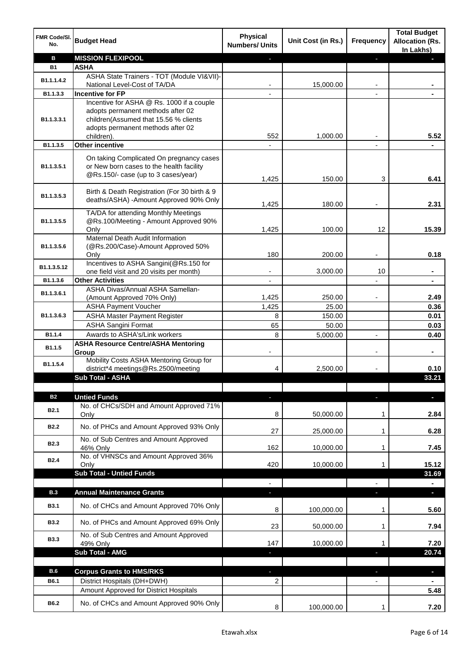| FMR Code/SI.<br>No. | <b>Budget Head</b>                                                         | <b>Physical</b><br><b>Numbers/ Units</b> | Unit Cost (in Rs.) | Frequency | <b>Total Budget</b><br><b>Allocation (Rs.</b><br>In Lakhs) |
|---------------------|----------------------------------------------------------------------------|------------------------------------------|--------------------|-----------|------------------------------------------------------------|
| в                   | <b>MISSION FLEXIPOOL</b>                                                   |                                          |                    |           |                                                            |
| <b>B1</b>           | <b>ASHA</b>                                                                |                                          |                    |           |                                                            |
| B1.1.1.4.2          | ASHA State Trainers - TOT (Module VI&VII)-                                 |                                          |                    |           |                                                            |
|                     | National Level-Cost of TA/DA                                               |                                          | 15,000.00          |           |                                                            |
| B1.1.3.3            | <b>Incentive for FP</b>                                                    |                                          |                    |           |                                                            |
|                     | Incentive for ASHA @ Rs. 1000 if a couple                                  |                                          |                    |           |                                                            |
|                     | adopts permanent methods after 02                                          |                                          |                    |           |                                                            |
| B1.1.3.3.1          | children(Assumed that 15.56 % clients<br>adopts permanent methods after 02 |                                          |                    |           |                                                            |
|                     | children).                                                                 | 552                                      | 1,000.00           |           | 5.52                                                       |
| B1.1.3.5            | <b>Other incentive</b>                                                     |                                          |                    |           |                                                            |
|                     |                                                                            |                                          |                    |           |                                                            |
|                     | On taking Complicated On pregnancy cases                                   |                                          |                    |           |                                                            |
| B1.1.3.5.1          | or New born cases to the health facility                                   |                                          |                    |           |                                                            |
|                     | @Rs.150/- case (up to 3 cases/year)                                        | 1,425                                    | 150.00             | 3         | 6.41                                                       |
|                     | Birth & Death Registration (For 30 birth & 9                               |                                          |                    |           |                                                            |
| B1.1.3.5.3          | deaths/ASHA) -Amount Approved 90% Only                                     |                                          |                    |           |                                                            |
|                     | TA/DA for attending Monthly Meetings                                       | 1,425                                    | 180.00             |           | 2.31                                                       |
| B1.1.3.5.5          | @Rs.100/Meeting - Amount Approved 90%                                      |                                          |                    |           |                                                            |
|                     | Only                                                                       | 1,425                                    | 100.00             | 12        | 15.39                                                      |
|                     | <b>Maternal Death Audit Information</b>                                    |                                          |                    |           |                                                            |
| B1.1.3.5.6          | (@Rs.200/Case)-Amount Approved 50%                                         |                                          |                    |           |                                                            |
|                     | Only                                                                       | 180                                      | 200.00             |           | 0.18                                                       |
| B1.1.3.5.12         | Incentives to ASHA Sangini(@Rs.150 for                                     |                                          |                    |           |                                                            |
|                     | one field visit and 20 visits per month)                                   | ۰                                        | 3,000.00           | 10        | $\blacksquare$                                             |
| B1.1.3.6            | <b>Other Activities</b>                                                    | $\overline{\phantom{a}}$                 |                    |           | $\blacksquare$                                             |
| B1.1.3.6.1          | ASHA Divas/Annual ASHA Samellan-                                           |                                          |                    |           |                                                            |
|                     | (Amount Approved 70% Only)                                                 | 1,425                                    | 250.00             |           | 2.49                                                       |
|                     | <b>ASHA Payment Voucher</b>                                                | 1,425                                    | 25.00              |           | 0.36                                                       |
| B1.1.3.6.3          | <b>ASHA Master Payment Register</b>                                        | 8                                        | 150.00             |           | 0.01                                                       |
|                     | <b>ASHA Sangini Format</b>                                                 | 65                                       | 50.00              |           | 0.03                                                       |
| B1.1.4              | Awards to ASHA's/Link workers                                              | 8                                        | 5,000.00           |           | 0.40                                                       |
| B1.1.5              | <b>ASHA Resource Centre/ASHA Mentoring</b>                                 |                                          |                    |           |                                                            |
|                     | Group<br>Mobility Costs ASHA Mentoring Group for                           |                                          |                    |           |                                                            |
| B1.1.5.4            | district*4 meetings@Rs.2500/meeting                                        | 4                                        | 2,500.00           |           | 0.10                                                       |
|                     | <b>Sub Total - ASHA</b>                                                    |                                          |                    |           | 33.21                                                      |
|                     |                                                                            |                                          |                    |           |                                                            |
| <b>B2</b>           | <b>Untied Funds</b>                                                        | r.                                       |                    |           | $\blacksquare$                                             |
|                     | No. of CHCs/SDH and Amount Approved 71%                                    |                                          |                    |           |                                                            |
| B <sub>2.1</sub>    | Only                                                                       | 8                                        | 50,000.00          | 1         | 2.84                                                       |
| <b>B2.2</b>         | No. of PHCs and Amount Approved 93% Only                                   |                                          |                    |           |                                                            |
|                     |                                                                            | 27                                       | 25,000.00          | 1         | 6.28                                                       |
| <b>B2.3</b>         | No. of Sub Centres and Amount Approved                                     |                                          |                    |           |                                                            |
|                     | 46% Only                                                                   | 162                                      | 10,000.00          | 1         | 7.45                                                       |
| <b>B2.4</b>         | No. of VHNSCs and Amount Approved 36%<br>Only                              | 420                                      | 10,000.00          | 1         | 15.12                                                      |
|                     | <b>Sub Total - Untied Funds</b>                                            |                                          |                    |           | 31.69                                                      |
|                     |                                                                            |                                          |                    |           |                                                            |
| <b>B.3</b>          | <b>Annual Maintenance Grants</b>                                           | E.                                       |                    |           |                                                            |
|                     |                                                                            |                                          |                    |           |                                                            |
| <b>B3.1</b>         | No. of CHCs and Amount Approved 70% Only                                   | 8                                        | 100,000.00         | 1         | 5.60                                                       |
|                     |                                                                            |                                          |                    |           |                                                            |
| <b>B3.2</b>         | No. of PHCs and Amount Approved 69% Only                                   | 23                                       | 50,000.00          | 1         | 7.94                                                       |
| <b>B3.3</b>         | No. of Sub Centres and Amount Approved                                     |                                          |                    |           |                                                            |
|                     | 49% Only                                                                   | 147                                      | 10,000.00          | 1         | 7.20                                                       |
|                     | <b>Sub Total - AMG</b>                                                     | E.                                       |                    | a,        | 20.74                                                      |
|                     |                                                                            |                                          |                    |           |                                                            |
| <b>B.6</b>          | <b>Corpus Grants to HMS/RKS</b>                                            |                                          |                    |           | ٠                                                          |
| <b>B6.1</b>         | District Hospitals (DH+DWH)                                                | 2                                        |                    |           |                                                            |
|                     | Amount Approved for District Hospitals                                     |                                          |                    |           | 5.48                                                       |
| B6.2                | No. of CHCs and Amount Approved 90% Only                                   |                                          |                    |           |                                                            |
|                     |                                                                            | 8                                        | 100,000.00         | 1         | 7.20                                                       |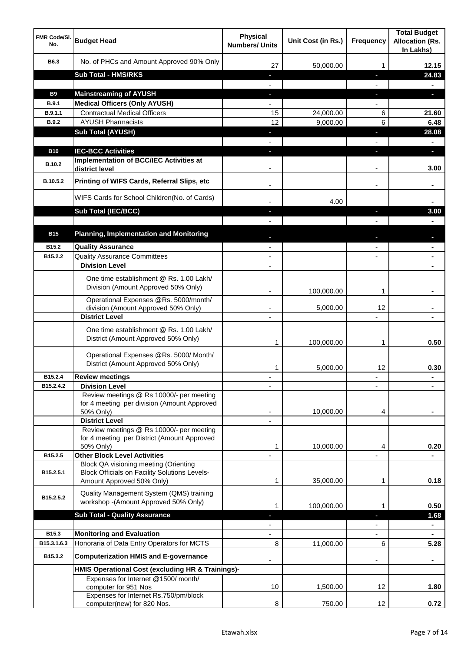| <b>FMR Code/SI.</b><br>No.  | <b>Budget Head</b>                                                                                   | <b>Physical</b><br><b>Numbers/ Units</b> | Unit Cost (in Rs.) | <b>Frequency</b>  | <b>Total Budget</b><br><b>Allocation (Rs.</b><br>In Lakhs) |
|-----------------------------|------------------------------------------------------------------------------------------------------|------------------------------------------|--------------------|-------------------|------------------------------------------------------------|
| B6.3                        | No. of PHCs and Amount Approved 90% Only                                                             | 27                                       | 50,000.00          | 1                 | 12.15                                                      |
|                             | <b>Sub Total - HMS/RKS</b>                                                                           | ٠                                        |                    | J,                | 24.83                                                      |
|                             |                                                                                                      |                                          |                    |                   |                                                            |
| <b>B9</b>                   | <b>Mainstreaming of AYUSH</b>                                                                        | J,                                       |                    | T                 | o.                                                         |
| B.9.1                       | <b>Medical Officers (Only AYUSH)</b>                                                                 |                                          |                    |                   |                                                            |
| B.9.1.1                     | <b>Contractual Medical Officers</b>                                                                  | 15                                       | 24,000.00          | 6                 | 21.60                                                      |
| <b>B.9.2</b>                | <b>AYUSH Pharmacists</b>                                                                             | 12                                       | 9,000.00           | 6                 | 6.48                                                       |
|                             | <b>Sub Total (AYUSH)</b>                                                                             | ٠                                        |                    | J,                | 28.08                                                      |
|                             |                                                                                                      |                                          |                    |                   |                                                            |
| <b>B10</b><br><b>B.10.2</b> | <b>IEC-BCC Activities</b><br><b>Implementation of BCC/IEC Activities at</b><br>district level        |                                          |                    | ı.                | н<br>3.00                                                  |
| B.10.5.2                    | Printing of WIFS Cards, Referral Slips, etc                                                          |                                          |                    | $\blacksquare$    |                                                            |
|                             | WIFS Cards for School Children(No. of Cards)                                                         |                                          | 4.00               |                   |                                                            |
|                             | Sub Total (IEC/BCC)                                                                                  |                                          |                    | ı                 | 3.00                                                       |
|                             |                                                                                                      |                                          |                    |                   |                                                            |
| <b>B15</b>                  | <b>Planning, Implementation and Monitoring</b>                                                       |                                          |                    |                   |                                                            |
| B15.2                       | <b>Quality Assurance</b>                                                                             |                                          |                    |                   |                                                            |
| B15.2.2                     | <b>Quality Assurance Committees</b>                                                                  | $\overline{\phantom{a}}$                 |                    |                   |                                                            |
|                             | <b>Division Level</b>                                                                                | $\blacksquare$                           |                    |                   | $\blacksquare$                                             |
|                             | One time establishment @ Rs. 1.00 Lakh/<br>Division (Amount Approved 50% Only)                       |                                          | 100,000.00         | 1                 |                                                            |
|                             | Operational Expenses @Rs. 5000/month/<br>division (Amount Approved 50% Only)                         | $\overline{\phantom{a}}$                 | 5,000.00           | 12                |                                                            |
|                             | <b>District Level</b>                                                                                | $\overline{\phantom{a}}$                 |                    |                   |                                                            |
|                             | One time establishment @ Rs. 1.00 Lakh/<br>District (Amount Approved 50% Only)                       | 1                                        | 100,000.00         | 1                 | 0.50                                                       |
|                             | Operational Expenses @Rs. 5000/ Month/<br>District (Amount Approved 50% Only)                        | 1                                        | 5,000.00           | 12                | 0.30                                                       |
| B15.2.4                     | <b>Review meetings</b>                                                                               |                                          |                    | ٠                 |                                                            |
| B15.2.4.2                   | <b>Division Level</b>                                                                                |                                          |                    |                   |                                                            |
|                             | Review meetings @ Rs 10000/- per meeting<br>for 4 meeting per division (Amount Approved<br>50% Only) |                                          | 10,000.00          | 4                 |                                                            |
|                             | <b>District Level</b><br>Review meetings @ Rs 10000/- per meeting                                    |                                          |                    |                   |                                                            |
|                             | for 4 meeting per District (Amount Approved                                                          |                                          |                    |                   |                                                            |
|                             | 50% Only)                                                                                            | 1                                        | 10,000.00          | 4                 | 0.20                                                       |
| B15.2.5                     | <b>Other Block Level Activities</b>                                                                  |                                          |                    |                   |                                                            |
| B15.2.5.1                   | Block QA visioning meeting (Orienting<br><b>Block Officials on Facility Solutions Levels-</b>        |                                          |                    |                   |                                                            |
|                             | Amount Approved 50% Only)                                                                            | 1                                        | 35,000.00          | 1                 | 0.18                                                       |
| B15.2.5.2                   | Quality Management System (QMS) training<br>workshop -(Amount Approved 50% Only)                     | 1                                        | 100,000.00         | 1                 | 0.50                                                       |
|                             | <b>Sub Total - Quality Assurance</b>                                                                 |                                          |                    |                   | 1.68                                                       |
|                             |                                                                                                      |                                          |                    |                   | $\blacksquare$                                             |
| B15.3                       | <b>Monitoring and Evaluation</b>                                                                     |                                          |                    |                   |                                                            |
| B15.3.1.6.3                 | Honoraria of Data Entry Operators for MCTS                                                           | 8                                        | 11,000.00          | 6                 | 5.28                                                       |
| B15.3.2                     | <b>Computerization HMIS and E-governance</b>                                                         |                                          |                    |                   |                                                            |
|                             | HMIS Operational Cost (excluding HR & Trainings)-                                                    |                                          |                    |                   |                                                            |
|                             | Expenses for Internet @1500/month/<br>computer for 951 Nos                                           | 10                                       | 1,500.00           | 12                | 1.80                                                       |
|                             | Expenses for Internet Rs.750/pm/block<br>computer(new) for 820 Nos.                                  | 8                                        | 750.00             | $12 \overline{ }$ | 0.72                                                       |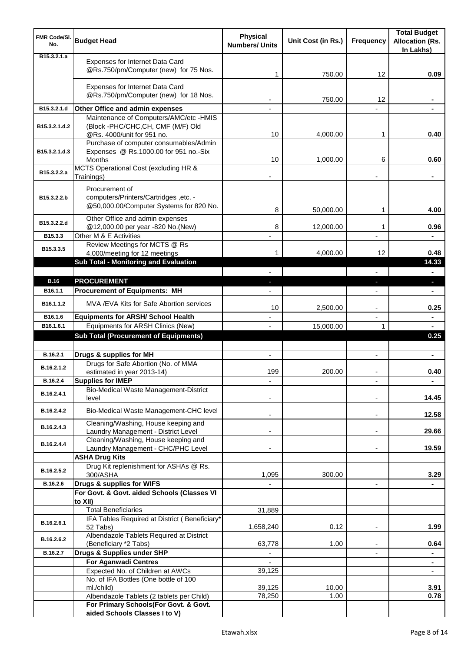| <b>FMR Code/SI.</b><br>No.   | <b>Budget Head</b>                                                                                                | <b>Physical</b><br><b>Numbers/ Units</b> | Unit Cost (in Rs.) | <b>Frequency</b>         | <b>Total Budget</b><br><b>Allocation (Rs.</b><br>In Lakhs) |
|------------------------------|-------------------------------------------------------------------------------------------------------------------|------------------------------------------|--------------------|--------------------------|------------------------------------------------------------|
| B <sub>15</sub> , 3, 2, 1, a | Expenses for Internet Data Card<br>@Rs.750/pm/Computer (new) for 75 Nos.                                          | 1                                        | 750.00             | 12                       | 0.09                                                       |
|                              | Expenses for Internet Data Card<br>@Rs.750/pm/Computer (new) for 18 Nos.                                          |                                          | 750.00             | 12                       |                                                            |
| B15.3.2.1.d                  | Other Office and admin expenses                                                                                   |                                          |                    |                          |                                                            |
| B15.3.2.1.d.2                | Maintenance of Computers/AMC/etc -HMIS<br>(Block -PHC/CHC,CH, CMF (M/F) Old<br>@Rs. 4000/unit for 951 no.         | 10                                       | 4,000.00           | 1                        | 0.40                                                       |
| B15.3.2.1.d.3                | Purchase of computer consumables/Admin<br>Expenses @ Rs.1000.00 for 951 no.-Six<br>Months                         | 10                                       | 1,000.00           | 6                        | 0.60                                                       |
| B15.3.2.2.a                  | MCTS Operational Cost (excluding HR &<br>Trainings)                                                               |                                          |                    |                          |                                                            |
| B15.3.2.2.b                  | Procurement of<br>computers/Printers/Cartridges, etc. -<br>@50,000.00/Computer Systems for 820 No.                | 8                                        | 50,000.00          | 1                        | 4.00                                                       |
| B15.3.2.2.d                  | Other Office and admin expenses<br>@12,000.00 per year -820 No.(New)                                              | 8                                        | 12,000.00          | 1                        | 0.96                                                       |
| B15.3.3                      | Other M & E Activities<br>Review Meetings for MCTS @ Rs                                                           |                                          |                    |                          |                                                            |
| B15.3.3.5                    | 4,000/meeting for 12 meetings<br>Sub Total - Monitoring and Evaluation                                            | 1                                        | 4,000.00           | 12                       | 0.48<br>14.33                                              |
|                              |                                                                                                                   |                                          |                    |                          | $\blacksquare$                                             |
| <b>B.16</b>                  | <b>PROCUREMENT</b>                                                                                                |                                          |                    | J,                       | a.                                                         |
| B <sub>16.1.1</sub>          | <b>Procurement of Equipments: MH</b>                                                                              |                                          |                    |                          |                                                            |
| B16.1.1.2                    | MVA / EVA Kits for Safe Abortion services                                                                         | 10                                       | 2,500.00           | $\overline{\phantom{a}}$ | 0.25                                                       |
| B16.1.6                      | <b>Equipments for ARSH/ School Health</b>                                                                         |                                          |                    | $\overline{a}$           | ۰                                                          |
| B16.1.6.1                    | Equipments for ARSH Clinics (New)                                                                                 |                                          | 15,000.00          | 1                        | $\blacksquare$                                             |
|                              | <b>Sub Total (Procurement of Equipments)</b>                                                                      |                                          |                    |                          | 0.25                                                       |
| B.16.2.1                     | Drugs & supplies for MH                                                                                           | $\blacksquare$                           |                    | $\blacksquare$           | ٠                                                          |
| B.16.2.1.2                   | Drugs for Safe Abortion (No. of MMA<br>estimated in year 2013-14)                                                 | 199                                      | 200.00             |                          | 0.40                                                       |
| B.16.2.4                     | <b>Supplies for IMEP</b>                                                                                          |                                          |                    |                          | ÷                                                          |
| B.16.2.4.1                   | Bio-Medical Waste Management-District<br>level                                                                    |                                          |                    |                          | 14.45                                                      |
| B.16.2.4.2                   | Bio-Medical Waste Management-CHC level                                                                            |                                          |                    | $\overline{\phantom{a}}$ | 12.58                                                      |
| B.16.2.4.3                   | Cleaning/Washing, House keeping and<br>Laundry Management - District Level<br>Cleaning/Washing, House keeping and |                                          |                    | $\blacksquare$           | 29.66                                                      |
| B.16.2.4.4                   | Laundry Management - CHC/PHC Level<br><b>ASHA Drug Kits</b>                                                       |                                          |                    |                          | 19.59                                                      |
| B.16.2.5.2                   | Drug Kit replenishment for ASHAs @ Rs.<br>300/ASHA                                                                | 1,095                                    | 300.00             |                          | 3.29                                                       |
| B.16.2.6                     | Drugs & supplies for WIFS                                                                                         |                                          |                    | $\overline{\phantom{a}}$ |                                                            |
|                              | For Govt. & Govt. aided Schools (Classes VI                                                                       |                                          |                    |                          |                                                            |
|                              | to XII)<br><b>Total Beneficiaries</b>                                                                             | 31,889                                   |                    |                          |                                                            |
|                              | IFA Tables Required at District (Beneficiary*                                                                     |                                          |                    |                          |                                                            |
| B.16.2.6.1                   | 52 Tabs)<br>Albendazole Tablets Required at District                                                              | 1,658,240                                | 0.12               | ٠                        | 1.99                                                       |
| B.16.2.6.2                   | (Beneficiary *2 Tabs)                                                                                             | 63,778                                   | 1.00               |                          | 0.64                                                       |
| B.16.2.7                     | Drugs & Supplies under SHP                                                                                        |                                          |                    |                          | ۰                                                          |
|                              | <b>For Aganwadi Centres</b>                                                                                       |                                          |                    |                          | $\blacksquare$                                             |
|                              | Expected No. of Children at AWCs<br>No. of IFA Bottles (One bottle of 100                                         | 39,125                                   |                    |                          | $\blacksquare$                                             |
|                              | ml./child)                                                                                                        | 39,125                                   | 10.00              |                          | 3.91                                                       |
|                              | Albendazole Tablets (2 tablets per Child)                                                                         | 78,250                                   | 1.00               |                          | 0.78                                                       |
|                              | For Primary Schools(For Govt. & Govt.<br>aided Schools Classes I to V)                                            |                                          |                    |                          |                                                            |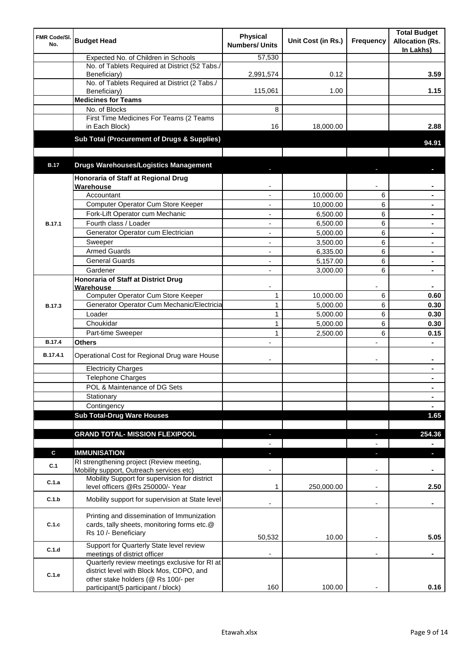| FMR Code/SI.<br>No. | <b>Budget Head</b>                                                                                                | <b>Physical</b><br><b>Numbers/ Units</b> | Unit Cost (in Rs.) | Frequency                | <b>Total Budget</b><br><b>Allocation (Rs.</b><br>In Lakhs) |
|---------------------|-------------------------------------------------------------------------------------------------------------------|------------------------------------------|--------------------|--------------------------|------------------------------------------------------------|
|                     | Expected No. of Children in Schools                                                                               | 57,530                                   |                    |                          |                                                            |
|                     | No. of Tablets Required at District (52 Tabs./<br>Beneficiary)                                                    | 2,991,574                                | 0.12               |                          | 3.59                                                       |
|                     | No. of Tablets Required at District (2 Tabs./<br>Beneficiary)                                                     | 115,061                                  | 1.00               |                          | 1.15                                                       |
|                     | <b>Medicines for Teams</b>                                                                                        |                                          |                    |                          |                                                            |
|                     | No. of Blocks                                                                                                     | 8                                        |                    |                          |                                                            |
|                     | First Time Medicines For Teams (2 Teams<br>in Each Block)                                                         | 16                                       | 18,000.00          |                          | 2.88                                                       |
|                     | Sub Total (Procurement of Drugs & Supplies)                                                                       |                                          |                    |                          | 94.91                                                      |
|                     |                                                                                                                   |                                          |                    |                          |                                                            |
| <b>B.17</b>         | <b>Drugs Warehouses/Logistics Management</b><br>Honoraria of Staff at Regional Drug                               |                                          |                    |                          |                                                            |
|                     | Warehouse                                                                                                         |                                          |                    |                          |                                                            |
|                     | Accountant                                                                                                        |                                          | 10,000.00          | 6                        |                                                            |
|                     | Computer Operator Cum Store Keeper                                                                                |                                          | 10,000.00          | 6                        |                                                            |
|                     | Fork-Lift Operator cum Mechanic                                                                                   |                                          | 6,500.00           | 6                        |                                                            |
| <b>B.17.1</b>       | Fourth class / Loader                                                                                             |                                          | 6,500.00           | 6                        |                                                            |
|                     | Generator Operator cum Electrician                                                                                |                                          |                    | 6                        |                                                            |
|                     |                                                                                                                   | ٠                                        | 5,000.00           | 6                        |                                                            |
|                     | Sweeper<br><b>Armed Guards</b>                                                                                    | ٠                                        | 3,500.00           |                          | $\blacksquare$                                             |
|                     |                                                                                                                   | $\overline{\phantom{a}}$                 | 6,335.00           | 6                        | $\blacksquare$                                             |
|                     | <b>General Guards</b>                                                                                             | ÷,                                       | 5,157.00           | 6                        |                                                            |
|                     | Gardener                                                                                                          | ÷,                                       | 3,000.00           | 6                        | $\blacksquare$                                             |
|                     | Honoraria of Staff at District Drug<br>Warehouse                                                                  |                                          |                    |                          |                                                            |
|                     | Computer Operator Cum Store Keeper                                                                                | $\mathbf{1}$                             | 10,000.00          | 6                        | 0.60                                                       |
| <b>B.17.3</b>       | Generator Operator Cum Mechanic/Electricia                                                                        | $\mathbf{1}$                             | 5,000.00           | 6                        | 0.30                                                       |
|                     | Loader                                                                                                            | $\mathbf{1}$                             | 5,000.00           | 6                        | 0.30                                                       |
|                     | Choukidar                                                                                                         | $\mathbf{1}$                             | 5,000.00           | 6                        | 0.30                                                       |
|                     | Part-time Sweeper                                                                                                 | $\mathbf{1}$                             | 2,500.00           | 6                        | 0.15                                                       |
| <b>B.17.4</b>       | <b>Others</b>                                                                                                     |                                          |                    | L.                       |                                                            |
| B.17.4.1            | Operational Cost for Regional Drug ware House                                                                     |                                          |                    | ۰                        | $\blacksquare$                                             |
|                     | <b>Electricity Charges</b>                                                                                        |                                          |                    |                          | $\blacksquare$                                             |
|                     | Telephone Charges                                                                                                 |                                          |                    |                          | $\blacksquare$                                             |
|                     | POL & Maintenance of DG Sets                                                                                      |                                          |                    |                          | $\blacksquare$                                             |
|                     | Stationary                                                                                                        |                                          |                    |                          | $\blacksquare$                                             |
|                     | Contingency                                                                                                       |                                          |                    |                          | $\blacksquare$                                             |
|                     | <b>Sub Total-Drug Ware Houses</b>                                                                                 |                                          |                    |                          | 1.65                                                       |
|                     | <b>GRAND TOTAL- MISSION FLEXIPOOL</b>                                                                             | E.                                       |                    |                          | 254.36                                                     |
|                     |                                                                                                                   |                                          |                    |                          | ä,                                                         |
| $\mathbf c$         | <b>IMMUNISATION</b>                                                                                               |                                          |                    |                          | н                                                          |
| C.1                 | RI strengthening project (Review meeting,<br>Mobility support, Outreach services etc)                             |                                          |                    |                          |                                                            |
| C.1.a               | Mobility Support for supervision for district<br>level officers @Rs 250000/- Year                                 | 1                                        | 250,000.00         |                          | 2.50                                                       |
| C.1.b               | Mobility support for supervision at State level                                                                   |                                          |                    | $\overline{\phantom{a}}$ | ٠                                                          |
| C.1.c               | Printing and dissemination of Immunization<br>cards, tally sheets, monitoring forms etc.@<br>Rs 10 /- Beneficiary | 50,532                                   | 10.00              |                          | 5.05                                                       |
| C.1.d               | Support for Quarterly State level review                                                                          |                                          |                    |                          |                                                            |
|                     | meetings of district officer                                                                                      |                                          |                    |                          |                                                            |
| C.1.e               | Quarterly review meetings exclusive for RI at<br>district level with Block Mos, CDPO, and                         |                                          |                    |                          |                                                            |
|                     | other stake holders (@ Rs 100/- per                                                                               |                                          |                    |                          |                                                            |
|                     | participant(5 participant / block)                                                                                | 160                                      | 100.00             |                          | 0.16                                                       |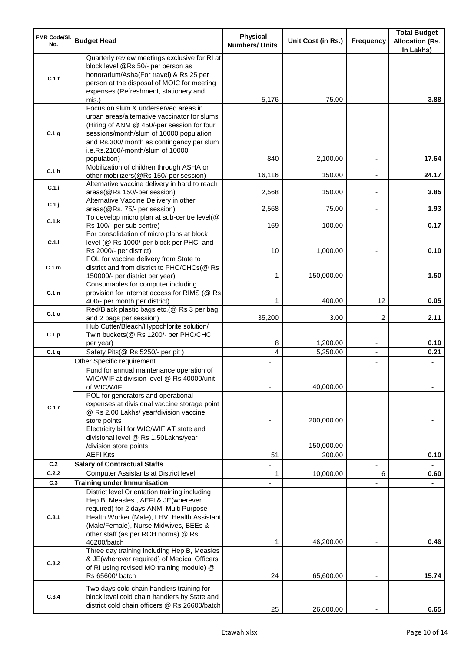| <b>FMR Code/SI.</b><br>No. | <b>Budget Head</b>                                                                                                                                                                                                                                                           | <b>Physical</b><br><b>Numbers/ Units</b> | Unit Cost (in Rs.) | Frequency                | <b>Total Budget</b><br><b>Allocation (Rs.</b><br>In Lakhs) |
|----------------------------|------------------------------------------------------------------------------------------------------------------------------------------------------------------------------------------------------------------------------------------------------------------------------|------------------------------------------|--------------------|--------------------------|------------------------------------------------------------|
| C.1.f                      | Quarterly review meetings exclusive for RI at<br>block level @Rs 50/- per person as<br>honorarium/Asha(For travel) & Rs 25 per<br>person at the disposal of MOIC for meeting<br>expenses (Refreshment, stationery and                                                        |                                          |                    |                          |                                                            |
| C.1.g                      | mis.)<br>Focus on slum & underserved areas in<br>urban areas/alternative vaccinator for slums<br>(Hiring of ANM @ 450/-per session for four<br>sessions/month/slum of 10000 population                                                                                       | 5,176                                    | 75.00              |                          | 3.88                                                       |
|                            | and Rs.300/ month as contingency per slum<br>i.e.Rs.2100/-month/slum of 10000<br>population)                                                                                                                                                                                 | 840                                      | 2,100.00           |                          | 17.64                                                      |
| C.1.h                      | Mobilization of children through ASHA or<br>other mobilizers(@Rs 150/-per session)                                                                                                                                                                                           | 16,116                                   | 150.00             |                          | 24.17                                                      |
| C.1.i                      | Alternative vaccine delivery in hard to reach<br>areas(@Rs 150/-per session)                                                                                                                                                                                                 | 2,568                                    | 150.00             | $\overline{\phantom{a}}$ | 3.85                                                       |
| C.1.j                      | Alternative Vaccine Delivery in other<br>areas(@Rs. 75/- per session)                                                                                                                                                                                                        | 2,568                                    | 75.00              | $\overline{\phantom{a}}$ | 1.93                                                       |
| C.1.k                      | To develop micro plan at sub-centre level(@<br>Rs 100/- per sub centre)<br>For consolidation of micro plans at block                                                                                                                                                         | 169                                      | 100.00             |                          | 0.17                                                       |
| C.1.1                      | level (@ Rs 1000/-per block per PHC and<br>Rs 2000/- per district)                                                                                                                                                                                                           | 10                                       | 1,000.00           |                          | 0.10                                                       |
| C.1.m                      | POL for vaccine delivery from State to<br>district and from district to PHC/CHCs(@ Rs<br>150000/- per district per year)                                                                                                                                                     | 1                                        | 150,000.00         | $\overline{\phantom{a}}$ | 1.50                                                       |
| C.1.n                      | Consumables for computer including<br>provision for internet access for RIMS (@ Rs<br>400/- per month per district)                                                                                                                                                          | 1                                        | 400.00             | 12                       | 0.05                                                       |
| C.1.o                      | Red/Black plastic bags etc.(@ Rs 3 per bag<br>and 2 bags per session)                                                                                                                                                                                                        | 35,200                                   | 3.00               | 2                        | 2.11                                                       |
| C.1.p                      | Hub Cutter/Bleach/Hypochlorite solution/<br>Twin buckets(@ Rs 1200/- per PHC/CHC                                                                                                                                                                                             | 8                                        | 1,200.00           | $\overline{\phantom{a}}$ | 0.10                                                       |
| C.1.q                      | per year)<br>Safety Pits(@ Rs 5250/- per pit)                                                                                                                                                                                                                                | 4                                        | 5,250.00           | $\blacksquare$           | 0.21                                                       |
|                            | Other Specific requirement                                                                                                                                                                                                                                                   |                                          |                    | $\blacksquare$           |                                                            |
|                            | Fund for annual maintenance operation of<br>WIC/WIF at division level @ Rs.40000/unit<br>of WIC/WIF                                                                                                                                                                          |                                          | 40,000.00          |                          |                                                            |
| C.1.r                      | POL for generators and operational<br>expenses at divisional vaccine storage point<br>@ Rs 2.00 Lakhs/ year/division vaccine                                                                                                                                                 |                                          |                    |                          |                                                            |
|                            | store points<br>Electricity bill for WIC/WIF AT state and<br>divisional level @ Rs 1.50Lakhs/year                                                                                                                                                                            |                                          | 200,000.00         |                          |                                                            |
|                            | /division store points                                                                                                                                                                                                                                                       |                                          | 150,000.00         |                          |                                                            |
|                            | <b>AEFI Kits</b>                                                                                                                                                                                                                                                             | 51                                       | 200.00             |                          | 0.10                                                       |
| C.2                        | <b>Salary of Contractual Staffs</b>                                                                                                                                                                                                                                          |                                          |                    |                          |                                                            |
| C.2.2                      | <b>Computer Assistants at District level</b>                                                                                                                                                                                                                                 | 1                                        | 10,000.00          | 6                        | 0.60                                                       |
| C.3                        | <b>Training under Immunisation</b>                                                                                                                                                                                                                                           |                                          |                    |                          |                                                            |
| C.3.1                      | District level Orientation training including<br>Hep B, Measles, AEFI & JE(wherever<br>required) for 2 days ANM, Multi Purpose<br>Health Worker (Male), LHV, Health Assistant<br>(Male/Female), Nurse Midwives, BEEs &<br>other staff (as per RCH norms) @ Rs<br>46200/batch | 1                                        | 46,200.00          |                          | 0.46                                                       |
| C.3.2                      | Three day training including Hep B, Measles<br>& JE(wherever required) of Medical Officers<br>of RI using revised MO training module) @<br>Rs 65600/ batch                                                                                                                   | 24                                       | 65,600.00          |                          | 15.74                                                      |
| C.3.4                      | Two days cold chain handlers training for<br>block level cold chain handlers by State and<br>district cold chain officers @ Rs 26600/batch                                                                                                                                   | 25                                       | 26,600.00          |                          | 6.65                                                       |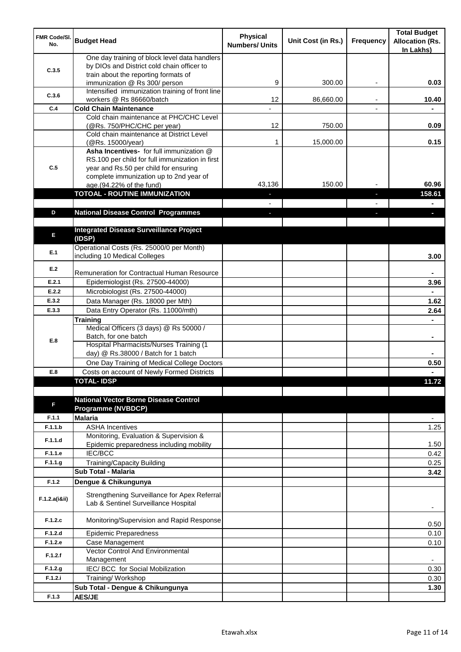| FMR Code/SI.<br>No. | <b>Budget Head</b>                                                                                                                   | <b>Physical</b><br><b>Numbers/ Units</b> | Unit Cost (in Rs.) | Frequency | <b>Total Budget</b><br><b>Allocation (Rs.</b><br>In Lakhs) |
|---------------------|--------------------------------------------------------------------------------------------------------------------------------------|------------------------------------------|--------------------|-----------|------------------------------------------------------------|
| C.3.5               | One day training of block level data handlers<br>by DIOs and District cold chain officer to<br>train about the reporting formats of  |                                          |                    |           |                                                            |
|                     | immunization @ Rs 300/ person                                                                                                        | 9                                        | 300.00             | ٠         | 0.03                                                       |
| C.3.6               | Intensified immunization training of front line<br>workers @ Rs 86660/batch                                                          | 12                                       | 86,660.00          |           | 10.40                                                      |
| C.4                 | <b>Cold Chain Maintenance</b>                                                                                                        |                                          |                    |           |                                                            |
|                     | Cold chain maintenance at PHC/CHC Level<br>(@Rs. 750/PHC/CHC per year)                                                               | 12                                       | 750.00             |           | 0.09                                                       |
|                     | Cold chain maintenance at District Level<br>(@Rs. 15000/year)                                                                        | 1                                        | 15,000.00          |           | 0.15                                                       |
| C.5                 | Asha Incentives- for full immunization @<br>RS.100 per child for full immunization in first<br>year and Rs.50 per child for ensuring |                                          |                    |           |                                                            |
|                     | complete immunization up to 2nd year of<br>age.(94.22% of the fund)                                                                  | 43,136                                   | 150.00             |           | 60.96                                                      |
|                     | <b>TOTOAL - ROUTINE IMMUNIZATION</b>                                                                                                 |                                          |                    |           | 158.61                                                     |
|                     |                                                                                                                                      |                                          |                    |           |                                                            |
| D                   | <b>National Disease Control Programmes</b>                                                                                           |                                          |                    |           | $\overline{\phantom{a}}$                                   |
|                     |                                                                                                                                      |                                          |                    |           |                                                            |
| E                   | <b>Integrated Disease Surveillance Project</b><br>(IDSP)                                                                             |                                          |                    |           |                                                            |
| E.1                 | Operational Costs (Rs. 25000/0 per Month)<br>including 10 Medical Colleges                                                           |                                          |                    |           | 3.00                                                       |
| E.2                 | Remuneration for Contractual Human Resource                                                                                          |                                          |                    |           |                                                            |
| E.2.1               | Epidemiologist (Rs. 27500-44000)                                                                                                     |                                          |                    |           | 3.96                                                       |
| E.2.2               | Microbiologist (Rs. 27500-44000)                                                                                                     |                                          |                    |           |                                                            |
| E.3.2               | Data Manager (Rs. 18000 per Mth)                                                                                                     |                                          |                    |           | 1.62                                                       |
| E.3.3               | Data Entry Operator (Rs. 11000/mth)                                                                                                  |                                          |                    |           | 2.64                                                       |
|                     | Training                                                                                                                             |                                          |                    |           |                                                            |
|                     | Medical Officers (3 days) @ Rs 50000 /                                                                                               |                                          |                    |           |                                                            |
| E.8                 | Batch, for one batch<br>Hospital Pharmacists/Nurses Training (1                                                                      |                                          |                    |           | $\blacksquare$                                             |
|                     | day) @ Rs.38000 / Batch for 1 batch                                                                                                  |                                          |                    |           |                                                            |
|                     | One Day Training of Medical College Doctors                                                                                          |                                          |                    |           | 0.50                                                       |
| E.8                 | Costs on account of Newly Formed Districts                                                                                           |                                          |                    |           |                                                            |
|                     | <b>TOTAL-IDSP</b>                                                                                                                    |                                          |                    |           | 11.72                                                      |
|                     |                                                                                                                                      |                                          |                    |           |                                                            |
| F                   | <b>National Vector Borne Disease Control</b><br><b>Programme (NVBDCP)</b>                                                            |                                          |                    |           |                                                            |
| F.1.1               | <b>Malaria</b>                                                                                                                       |                                          |                    |           | $\overline{\phantom{a}}$                                   |
| F.1.1.b             | <b>ASHA Incentives</b>                                                                                                               |                                          |                    |           | 1.25                                                       |
| F.1.1.d             | Monitoring, Evaluation & Supervision &<br>Epidemic preparedness including mobility                                                   |                                          |                    |           | 1.50                                                       |
| F.1.1.e             | <b>IEC/BCC</b>                                                                                                                       |                                          |                    |           | 0.42                                                       |
| F.1.1.g             | Training/Capacity Building                                                                                                           |                                          |                    |           | 0.25                                                       |
|                     | Sub Total - Malaria                                                                                                                  |                                          |                    |           | 3.42                                                       |
| F.1.2               | Dengue & Chikungunya                                                                                                                 |                                          |                    |           |                                                            |
| F.1.2.a(iⅈ)         | Strengthening Surveillance for Apex Referral<br>Lab & Sentinel Surveillance Hospital                                                 |                                          |                    |           |                                                            |
| F.1.2.c             | Monitoring/Supervision and Rapid Response                                                                                            |                                          |                    |           | 0.50                                                       |
| F.1.2.d             | <b>Epidemic Preparedness</b>                                                                                                         |                                          |                    |           | 0.10                                                       |
| F.1.2.e             | Case Management<br>Vector Control And Environmental                                                                                  |                                          |                    |           | 0.10                                                       |
| F.1.2.f             | Management                                                                                                                           |                                          |                    |           | $\overline{\phantom{a}}$                                   |
| F.1.2.g             | IEC/ BCC for Social Mobilization                                                                                                     |                                          |                    |           | 0.30                                                       |
| F.1.2.i             | Training/Workshop                                                                                                                    |                                          |                    |           | 0.30                                                       |
|                     | Sub Total - Dengue & Chikungunya                                                                                                     |                                          |                    |           | 1.30                                                       |
| F.1.3               | <b>AES/JE</b>                                                                                                                        |                                          |                    |           |                                                            |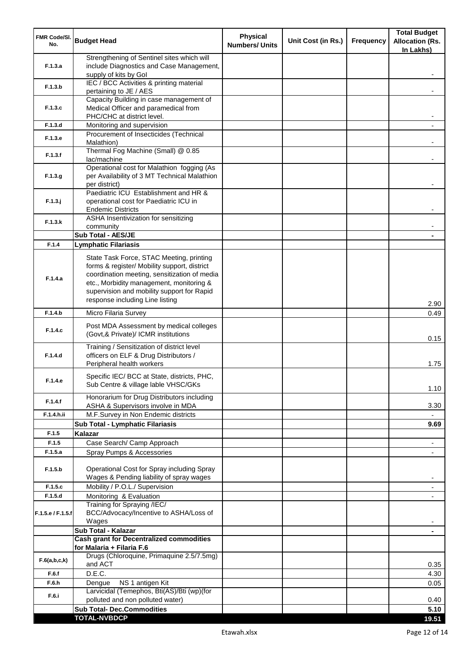| <b>FMR Code/SI.</b><br>No. | <b>Budget Head</b>                                                                                                                                                                                                                                                    | <b>Physical</b><br><b>Numbers/ Units</b> | Unit Cost (in Rs.) | <b>Frequency</b> | <b>Total Budget</b><br><b>Allocation (Rs.</b><br>In Lakhs) |
|----------------------------|-----------------------------------------------------------------------------------------------------------------------------------------------------------------------------------------------------------------------------------------------------------------------|------------------------------------------|--------------------|------------------|------------------------------------------------------------|
| F.1.3.a                    | Strengthening of Sentinel sites which will<br>include Diagnostics and Case Management,<br>supply of kits by Gol                                                                                                                                                       |                                          |                    |                  |                                                            |
| F.1.3.b                    | IEC / BCC Activities & printing material<br>pertaining to JE / AES                                                                                                                                                                                                    |                                          |                    |                  |                                                            |
| F.1.3.c                    | Capacity Building in case management of<br>Medical Officer and paramedical from                                                                                                                                                                                       |                                          |                    |                  |                                                            |
|                            | PHC/CHC at district level.                                                                                                                                                                                                                                            |                                          |                    |                  |                                                            |
| F.1.3.d                    | Monitoring and supervision<br>Procurement of Insecticides (Technical                                                                                                                                                                                                  |                                          |                    |                  |                                                            |
| F.1.3.e                    | Malathion)<br>Thermal Fog Machine (Small) @ 0.85                                                                                                                                                                                                                      |                                          |                    |                  |                                                            |
| F.1.3.f                    | lac/machine                                                                                                                                                                                                                                                           |                                          |                    |                  |                                                            |
| F.1.3.g                    | Operational cost for Malathion fogging (As<br>per Availability of 3 MT Technical Malathion<br>per district)                                                                                                                                                           |                                          |                    |                  |                                                            |
| $F.1.3.$ j                 | Paediatric ICU Establishment and HR &<br>operational cost for Paediatric ICU in<br><b>Endemic Districts</b>                                                                                                                                                           |                                          |                    |                  |                                                            |
| F.1.3.k                    | ASHA Insentivization for sensitizing<br>community                                                                                                                                                                                                                     |                                          |                    |                  |                                                            |
|                            | Sub Total - AES/JE                                                                                                                                                                                                                                                    |                                          |                    |                  |                                                            |
| F.1.4                      | <b>Lymphatic Filariasis</b>                                                                                                                                                                                                                                           |                                          |                    |                  |                                                            |
| F.1.4.a                    | State Task Force, STAC Meeting, printing<br>forms & register/ Mobility support, district<br>coordination meeting, sensitization of media<br>etc., Morbidity management, monitoring &<br>supervision and mobility support for Rapid<br>response including Line listing |                                          |                    |                  | 2.90                                                       |
| F.1.4.b                    | Micro Filaria Survey                                                                                                                                                                                                                                                  |                                          |                    |                  | 0.49                                                       |
| F.1.4.c                    | Post MDA Assessment by medical colleges<br>(Govt,& Private)/ ICMR institutions                                                                                                                                                                                        |                                          |                    |                  | 0.15                                                       |
| F.1.4.d                    | Training / Sensitization of district level<br>officers on ELF & Drug Distributors /<br>Peripheral health workers                                                                                                                                                      |                                          |                    |                  | 1.75                                                       |
| F.1.4.e                    | Specific IEC/ BCC at State, districts, PHC,<br>Sub Centre & village lable VHSC/GKs                                                                                                                                                                                    |                                          |                    |                  | 1.10                                                       |
| F.1.4.f                    | Honorarium for Drug Distributors including<br>ASHA & Supervisors involve in MDA                                                                                                                                                                                       |                                          |                    |                  | 3.30                                                       |
| F.1.4.h.ii                 | M.F.Survey in Non Endemic districts                                                                                                                                                                                                                                   |                                          |                    |                  |                                                            |
|                            | Sub Total - Lymphatic Filariasis                                                                                                                                                                                                                                      |                                          |                    |                  | 9.69                                                       |
| F.1.5<br>F.1.5             | <b>Kalazar</b>                                                                                                                                                                                                                                                        |                                          |                    |                  |                                                            |
| F.1.5.a                    | Case Search/ Camp Approach<br>Spray Pumps & Accessories                                                                                                                                                                                                               |                                          |                    |                  | $\overline{\phantom{a}}$<br>$\blacksquare$                 |
| F.1.5.b                    | Operational Cost for Spray including Spray<br>Wages & Pending liability of spray wages                                                                                                                                                                                |                                          |                    |                  |                                                            |
| F.1.5.c                    | Mobility / P.O.L./ Supervision                                                                                                                                                                                                                                        |                                          |                    |                  |                                                            |
| F.1.5.d                    | Monitoring & Evaluation                                                                                                                                                                                                                                               |                                          |                    |                  |                                                            |
| F.1.5.e / F.1.5.f          | Training for Spraying /IEC/<br>BCC/Advocacy/Incentive to ASHA/Loss of<br>Wages                                                                                                                                                                                        |                                          |                    |                  |                                                            |
|                            | Sub Total - Kalazar                                                                                                                                                                                                                                                   |                                          |                    |                  | $\blacksquare$                                             |
|                            | <b>Cash grant for Decentralized commodities</b><br>for Malaria + Filaria F.6                                                                                                                                                                                          |                                          |                    |                  |                                                            |
| F.6(a,b,c,k)               | Drugs (Chloroquine, Primaquine 2.5/7.5mg)<br>and ACT                                                                                                                                                                                                                  |                                          |                    |                  | 0.35                                                       |
| F.6.f                      | D.E.C.                                                                                                                                                                                                                                                                |                                          |                    |                  | 4.30                                                       |
| F.6.h                      | NS 1 antigen Kit<br>Dengue<br>Larvicidal (Temephos, Bti(AS)/Bti (wp)(for                                                                                                                                                                                              |                                          |                    |                  | 0.05                                                       |
| F.6.i                      | polluted and non polluted water)                                                                                                                                                                                                                                      |                                          |                    |                  | 0.40                                                       |
|                            | <b>Sub Total- Dec.Commodities</b>                                                                                                                                                                                                                                     |                                          |                    |                  | 5.10                                                       |
|                            | <b>TOTAL-NVBDCP</b>                                                                                                                                                                                                                                                   |                                          |                    |                  | 19.51                                                      |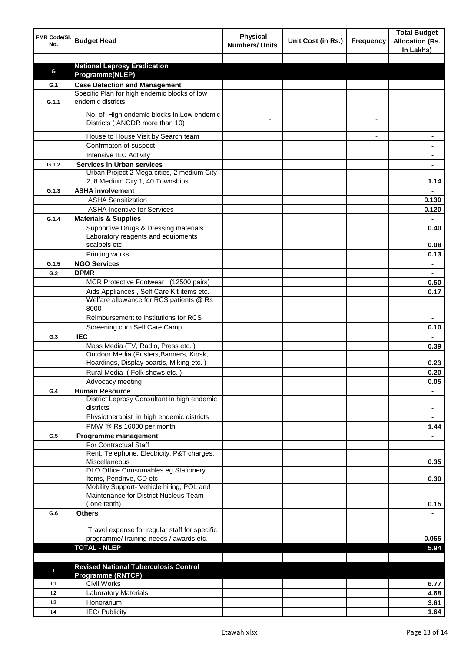| FMR Code/SI.<br>No. | <b>Budget Head</b>                                                                   | <b>Physical</b><br><b>Numbers/ Units</b> | Unit Cost (in Rs.) | <b>Frequency</b> | <b>Total Budget</b><br><b>Allocation (Rs.</b><br>In Lakhs) |
|---------------------|--------------------------------------------------------------------------------------|------------------------------------------|--------------------|------------------|------------------------------------------------------------|
|                     |                                                                                      |                                          |                    |                  |                                                            |
| G                   | <b>National Leprosy Eradication</b><br>Programme(NLEP)                               |                                          |                    |                  |                                                            |
| G.1                 | <b>Case Detection and Management</b>                                                 |                                          |                    |                  |                                                            |
|                     | Specific Plan for high endemic blocks of low                                         |                                          |                    |                  |                                                            |
| G.1.1               | endemic districts                                                                    |                                          |                    |                  |                                                            |
|                     | No. of High endemic blocks in Low endemic<br>Districts (ANCDR more than 10)          |                                          |                    |                  |                                                            |
|                     | House to House Visit by Search team                                                  |                                          |                    |                  |                                                            |
|                     | Confrmaton of suspect                                                                |                                          |                    |                  |                                                            |
|                     | Intensive IEC Activity                                                               |                                          |                    |                  |                                                            |
| G.1.2               | <b>Services in Urban services</b>                                                    |                                          |                    |                  |                                                            |
|                     | Urban Project 2 Mega cities, 2 medium City                                           |                                          |                    |                  |                                                            |
|                     | 2, 8 Medium City 1, 40 Townships                                                     |                                          |                    |                  | 1.14                                                       |
| G.1.3               | <b>ASHA involvement</b>                                                              |                                          |                    |                  |                                                            |
|                     | <b>ASHA Sensitization</b>                                                            |                                          |                    |                  | 0.130                                                      |
|                     | <b>ASHA Incentive for Services</b>                                                   |                                          |                    |                  | 0.120                                                      |
| G.1.4               | <b>Materials &amp; Supplies</b>                                                      |                                          |                    |                  |                                                            |
|                     | Supportive Drugs & Dressing materials                                                |                                          |                    |                  | 0.40                                                       |
|                     | Laboratory reagents and equipments                                                   |                                          |                    |                  |                                                            |
|                     | scalpels etc.                                                                        |                                          |                    |                  | 0.08                                                       |
|                     | Printing works                                                                       |                                          |                    |                  | 0.13                                                       |
| G.1.5               | <b>NGO Services</b>                                                                  |                                          |                    |                  | $\blacksquare$                                             |
| G.2                 | <b>DPMR</b>                                                                          |                                          |                    |                  | $\blacksquare$                                             |
|                     | MCR Protective Footwear (12500 pairs)                                                |                                          |                    |                  | 0.50                                                       |
|                     | Aids Appliances, Self Care Kit items etc.<br>Welfare allowance for RCS patients @ Rs |                                          |                    |                  | 0.17                                                       |
|                     | 8000                                                                                 |                                          |                    |                  |                                                            |
|                     | Reimbursement to institutions for RCS                                                |                                          |                    |                  |                                                            |
|                     | Screening cum Self Care Camp                                                         |                                          |                    |                  | 0.10                                                       |
| G.3                 | <b>IEC</b>                                                                           |                                          |                    |                  |                                                            |
|                     | Mass Media (TV, Radio, Press etc.)                                                   |                                          |                    |                  | 0.39                                                       |
|                     | Outdoor Media (Posters, Banners, Kiosk,                                              |                                          |                    |                  |                                                            |
|                     | Hoardings, Display boards, Miking etc.)                                              |                                          |                    |                  | 0.23                                                       |
|                     | Rural Media (Folk shows etc.)                                                        |                                          |                    |                  | 0.20                                                       |
| G.4                 | Advocacy meeting<br><b>Human Resource</b>                                            |                                          |                    |                  | 0.05                                                       |
|                     | District Leprosy Consultant in high endemic                                          |                                          |                    |                  |                                                            |
|                     | districts                                                                            |                                          |                    |                  | $\blacksquare$                                             |
|                     | Physiotherapist in high endemic districts                                            |                                          |                    |                  | $\blacksquare$                                             |
|                     | PMW @ Rs 16000 per month                                                             |                                          |                    |                  | 1.44                                                       |
| G.5                 | Programme management                                                                 |                                          |                    |                  | $\blacksquare$                                             |
|                     | For Contractual Staff                                                                |                                          |                    |                  |                                                            |
|                     | Rent, Telephone, Electricity, P&T charges,<br>Miscellaneous                          |                                          |                    |                  | 0.35                                                       |
|                     | DLO Office Consumables eg.Stationery                                                 |                                          |                    |                  |                                                            |
|                     | Items, Pendrive, CD etc.                                                             |                                          |                    |                  | 0.30                                                       |
|                     | Mobility Support- Vehicle hiring, POL and                                            |                                          |                    |                  |                                                            |
|                     | Maintenance for District Nucleus Team                                                |                                          |                    |                  |                                                            |
|                     | one tenth)                                                                           |                                          |                    |                  | 0.15                                                       |
| G.6                 | <b>Others</b>                                                                        |                                          |                    |                  |                                                            |
|                     |                                                                                      |                                          |                    |                  |                                                            |
|                     | Travel expense for regular staff for specific                                        |                                          |                    |                  |                                                            |
|                     | programme/ training needs / awards etc.<br><b>TOTAL - NLEP</b>                       |                                          |                    |                  | 0.065                                                      |
|                     |                                                                                      |                                          |                    |                  | 5.94                                                       |
|                     | <b>Revised National Tuberculosis Control</b>                                         |                                          |                    |                  |                                                            |
| П                   | <b>Programme (RNTCP)</b>                                                             |                                          |                    |                  |                                                            |
| 1.1                 | <b>Civil Works</b>                                                                   |                                          |                    |                  | 6.77                                                       |
| 1.2                 | <b>Laboratory Materials</b>                                                          |                                          |                    |                  | 4.68                                                       |
| 1.3                 | Honorarium                                                                           |                                          |                    |                  | 3.61                                                       |
| 1.4                 | <b>IEC/Publicity</b>                                                                 |                                          |                    |                  | 1.64                                                       |